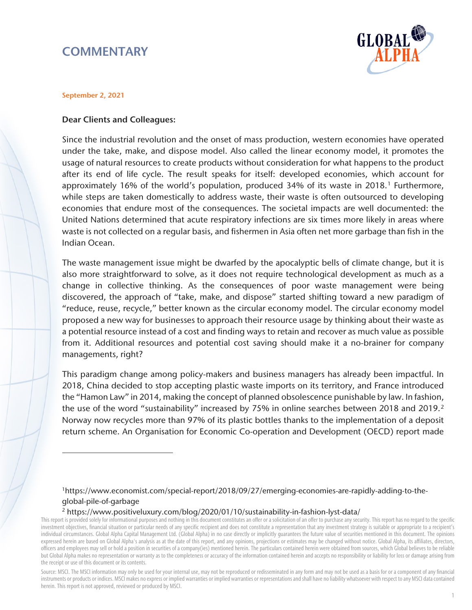# **COMMENTARY**



#### September 2, 2021

 $\overline{a}$ 

#### Dear Clients and Colleagues:

Since the industrial revolution and the onset of mass production, western economies have operated under the take, make, and dispose model. Also called the linear economy model, it promotes the usage of natural resources to create products without consideration for what happens to the product after its end of life cycle. The result speaks for itself: developed economies, which account for approximately [1](#page-0-0)6% of the world's population, produced 34% of its waste in 2018.<sup>1</sup> Furthermore, while steps are taken domestically to address waste, their waste is often outsourced to developing economies that endure most of the consequences. The societal impacts are well documented: the United Nations determined that acute respiratory infections are six times more likely in areas where waste is not collected on a regular basis, and fishermen in Asia often net more garbage than fish in the Indian Ocean.

The waste management issue might be dwarfed by the apocalyptic bells of climate change, but it is also more straightforward to solve, as it does not require technological development as much as a change in collective thinking. As the consequences of poor waste management were being discovered, the approach of "take, make, and dispose" started shifting toward a new paradigm of "reduce, reuse, recycle," better known as the circular economy model. The circular economy model proposed a new way for businesses to approach their resource usage by thinking about their waste as a potential resource instead of a cost and finding ways to retain and recover as much value as possible from it. Additional resources and potential cost saving should make it a no-brainer for company managements, right?

This paradigm change among policy-makers and business managers has already been impactful. In 2018, China decided to stop accepting plastic waste imports on its territory, and France introduced the "Hamon Law" in 2014, making the concept of planned obsolescence punishable by law. In fashion, the use of the word "sustainability" increased by 75% in online searches between [2](#page-0-1)018 and 2019.<sup>2</sup> Norway now recycles more than 97% of its plastic bottles thanks to the implementation of a deposit return scheme. An Organisation for Economic Co-operation and Development (OECD) report made

<sup>2</sup> https://www.positiveluxury.com/blog/2020/01/10/sustainability-in-fashion-lyst-data/

<sup>1</sup>https://www.economist.com/special-report/2018/09/27/emerging-economies-are-rapidly-adding-to-theglobal-pile-of-garbage

<span id="page-0-1"></span><span id="page-0-0"></span>This report is provided solely for informational purposes and nothing in this document constitutes an offer or a solicitation of an offer to purchase any security. This report has no regard to the specific investment objectives, financial situation or particular needs of any specific recipient and does not constitute a representation that any investment strategy is suitable or appropriate to a recipient's individual circumstances. Global Alpha Capital Management Ltd. (Global Alpha) in no case directly or implicitly guarantees the future value of securities mentioned in this document. The opinions expressed herein are based on Global Alpha's analysis as at the date of this report, and any opinions, projections or estimates may be changed without notice. Global Alpha, its affiliates, directors, officers and employees may sell or hold a position in securities of a company(ies) mentioned herein. The particulars contained herein were obtained from sources, which Global believes to be reliable but Global Alpha makes no representation or warranty as to the completeness or accuracy of the information contained herein and accepts no responsibility or liability for loss or damage arising from the receipt or use of this document or its contents.

Source: MSCI. The MSCI information may only be used for your internal use, may not be reproduced or redisseminated in any form and may not be used as a basis for or a component of any financial instruments or products or indices. MSCI makes no express or implied warranties or implied warranties or representations and shall have no liability whatsoever with respect to any MSCI data contained herein. This report is not approved, reviewed or produced by MSCI.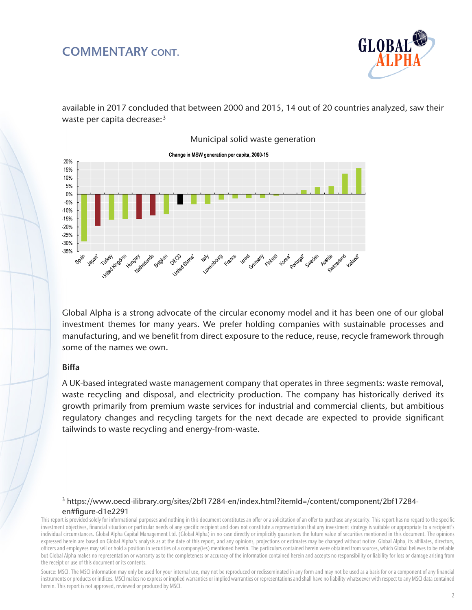## COMMENTARY CONT.



available in 2017 concluded that between 2000 and 2015, 14 out of 20 countries analyzed, saw their waste per capita decrease:<sup>[3](#page-1-0)</sup>



Global Alpha is a strong advocate of the circular economy model and it has been one of our global investment themes for many years. We prefer holding companies with sustainable processes and manufacturing, and we benefit from direct exposure to the reduce, reuse, recycle framework through some of the names we own.

#### Biffa

 $\overline{a}$ 

A UK-based integrated waste management company that operates in three segments: waste removal, waste recycling and disposal, and electricity production. The company has historically derived its growth primarily from premium waste services for industrial and commercial clients, but ambitious regulatory changes and recycling targets for the next decade are expected to provide significant tailwinds to waste recycling and energy-from-waste.

3 https://www.oecd-ilibrary.org/sites/2bf17284-en/index.html?itemId=/content/component/2bf17284 en#figure-d1e2291

<span id="page-1-0"></span>This report is provided solely for informational purposes and nothing in this document constitutes an offer or a solicitation of an offer to purchase any security. This report has no regard to the specific investment objectives, financial situation or particular needs of any specific recipient and does not constitute a representation that any investment strategy is suitable or appropriate to a recipient's individual circumstances. Global Alpha Capital Management Ltd. (Global Alpha) in no case directly or implicitly guarantees the future value of securities mentioned in this document. The opinions expressed herein are based on Global Alpha's analysis as at the date of this report, and any opinions, projections or estimates may be changed without notice. Global Alpha, its affiliates, directors, officers and employees may sell or hold a position in securities of a company(ies) mentioned herein. The particulars contained herein were obtained from sources, which Global believes to be reliable but Global Alpha makes no representation or warranty as to the completeness or accuracy of the information contained herein and accepts no responsibility or liability for loss or damage arising from the receipt or use of this document or its contents.

Source: MSCI. The MSCI information may only be used for your internal use, may not be reproduced or redisseminated in any form and may not be used as a basis for or a component of any financial instruments or products or indices. MSCI makes no express or implied warranties or implied warranties or representations and shall have no liability whatsoever with respect to any MSCI data contained herein. This report is not approved, reviewed or produced by MSCI.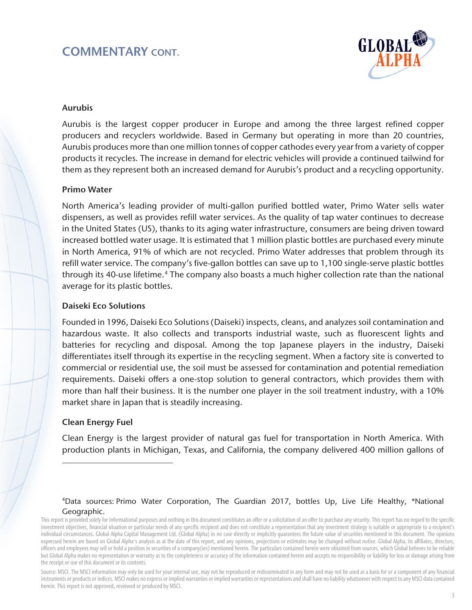# COMMENTARY CONT.



#### Aurubis

Aurubis is the largest copper producer in Europe and among the three largest refined copper producers and recyclers worldwide. Based in Germany but operating in more than 20 countries, Aurubis produces more than one million tonnes of copper cathodes every year from a variety of copper products it recycles. The increase in demand for electric vehicles will provide a continued tailwind for them as they represent both an increased demand for Aurubis's product and a recycling opportunity.

#### Primo Water

North America's leading provider of multi-gallon purified bottled water, Primo Water sells water dispensers, as well as provides refill water services. As the quality of tap water continues to decrease in the United States (US), thanks to its aging water infrastructure, consumers are being driven toward increased bottled water usage. It is estimated that 1 million plastic bottles are purchased every minute in North America, 91% of which are not recycled. Primo Water addresses that problem through its refill water service. The company's five-gallon bottles can save up to 1,100 single-serve plastic bottles through its [4](#page-2-0)0-use lifetime.<sup>4</sup> The company also boasts a much higher collection rate than the national average for its plastic bottles.

#### Daiseki Eco Solutions

Founded in 1996, Daiseki Eco Solutions (Daiseki) inspects, cleans, and analyzes soil contamination and hazardous waste. It also collects and transports industrial waste, such as fluorescent lights and batteries for recycling and disposal. Among the top Japanese players in the industry, Daiseki differentiates itself through its expertise in the recycling segment. When a factory site is converted to commercial or residential use, the soil must be assessed for contamination and potential remediation requirements. Daiseki offers a one-stop solution to general contractors, which provides them with more than half their business. It is the number one player in the soil treatment industry, with a 10% market share in Japan that is steadily increasing.

### Clean Energy Fuel

 $\overline{a}$ 

Clean Energy is the largest provider of natural gas fuel for transportation in North America. With production plants in Michigan, Texas, and California, the company delivered 400 million gallons of

#### 4Data sources: Primo Water Corporation, The Guardian 2017, bottles Up, Live Life Healthy, [\\*National](https://www.nationalgeographic.com/news/2017/07/plastic-produced-recycling-waste-ocean-trash-debris-environment/)  [Geographic.](https://www.nationalgeographic.com/news/2017/07/plastic-produced-recycling-waste-ocean-trash-debris-environment/)

<span id="page-2-0"></span>This report is provided solely for informational purposes and nothing in this document constitutes an offer or a solicitation of an offer to purchase any security. This report has no regard to the specific investment objectives, financial situation or particular needs of any specific recipient and does not constitute a representation that any investment strategy is suitable or appropriate to a recipient's individual circumstances. Global Alpha Capital Management Ltd. (Global Alpha) in no case directly or implicitly guarantees the future value of securities mentioned in this document. The opinions expressed herein are based on Global Alpha's analysis as at the date of this report, and any opinions, projections or estimates may be changed without notice. Global Alpha, its affiliates, directors, officers and employees may sell or hold a position in securities of a company(ies) mentioned herein. The particulars contained herein were obtained from sources, which Global believes to be reliable but Global Alpha makes no representation or warranty as to the completeness or accuracy of the information contained herein and accepts no responsibility or liability for loss or damage arising from the receipt or use of this document or its contents.

Source: MSCI. The MSCI information may only be used for your internal use, may not be reproduced or redisseminated in any form and may not be used as a basis for or a component of any financial instruments or products or indices. MSCI makes no express or implied warranties or implied warranties or representations and shall have no liability whatsoever with respect to any MSCI data contained herein. This report is not approved, reviewed or produced by MSCI.